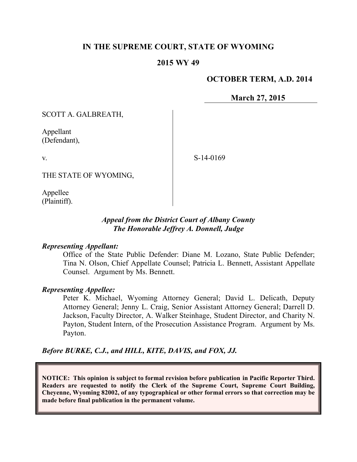# **IN THE SUPREME COURT, STATE OF WYOMING**

### **2015 WY 49**

## **OCTOBER TERM, A.D. 2014**

**March 27, 2015**

SCOTT A. GALBREATH,

Appellant (Defendant),

S-14-0169

THE STATE OF WYOMING,

Appellee (Plaintiff).

v.

### *Appeal from the District Court of Albany County The Honorable Jeffrey A. Donnell, Judge*

#### *Representing Appellant:*

Office of the State Public Defender: Diane M. Lozano, State Public Defender; Tina N. Olson, Chief Appellate Counsel; Patricia L. Bennett, Assistant Appellate Counsel. Argument by Ms. Bennett.

#### *Representing Appellee:*

Peter K. Michael, Wyoming Attorney General; David L. Delicath, Deputy Attorney General; Jenny L. Craig, Senior Assistant Attorney General; Darrell D. Jackson, Faculty Director, A. Walker Steinhage, Student Director, and Charity N. Payton, Student Intern, of the Prosecution Assistance Program. Argument by Ms. Payton.

*Before BURKE, C.J., and HILL, KITE, DAVIS, and FOX, JJ.*

**NOTICE: This opinion is subject to formal revision before publication in Pacific Reporter Third. Readers are requested to notify the Clerk of the Supreme Court, Supreme Court Building, Cheyenne, Wyoming 82002, of any typographical or other formal errors so that correction may be made before final publication in the permanent volume.**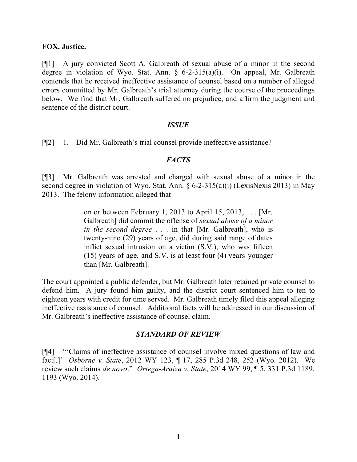#### **FOX, Justice.**

[¶1] A jury convicted Scott A. Galbreath of sexual abuse of a minor in the second degree in violation of Wyo. Stat. Ann. § 6-2-315(a)(i). On appeal, Mr. Galbreath contends that he received ineffective assistance of counsel based on a number of alleged errors committed by Mr. Galbreath's trial attorney during the course of the proceedings below. We find that Mr. Galbreath suffered no prejudice, and affirm the judgment and sentence of the district court.

#### *ISSUE*

[¶2] 1. Did Mr. Galbreath's trial counsel provide ineffective assistance?

#### *FACTS*

[¶3] Mr. Galbreath was arrested and charged with sexual abuse of a minor in the second degree in violation of Wyo. Stat. Ann. § 6-2-315(a)(i) (LexisNexis 2013) in May 2013. The felony information alleged that

> on or between February 1, 2013 to April 15, 2013, . . . [Mr. Galbreath] did commit the offense of *sexual abuse of a minor in the second degree* . . . in that [Mr. Galbreath], who is twenty-nine (29) years of age, did during said range of dates inflict sexual intrusion on a victim (S.V.), who was fifteen (15) years of age, and S.V. is at least four (4) years younger than [Mr. Galbreath].

The court appointed a public defender, but Mr. Galbreath later retained private counsel to defend him. A jury found him guilty, and the district court sentenced him to ten to eighteen years with credit for time served. Mr. Galbreath timely filed this appeal alleging ineffective assistance of counsel. Additional facts will be addressed in our discussion of Mr. Galbreath's ineffective assistance of counsel claim.

#### *STANDARD OF REVIEW*

[¶4] "'Claims of ineffective assistance of counsel involve mixed questions of law and fact[.]' *Osborne v. State*, 2012 WY 123, ¶ 17, 285 P.3d 248, 252 (Wyo. 2012). We review such claims *de novo*." *Ortega-Araiza v. State*, 2014 WY 99, ¶ 5, 331 P.3d 1189, 1193 (Wyo. 2014).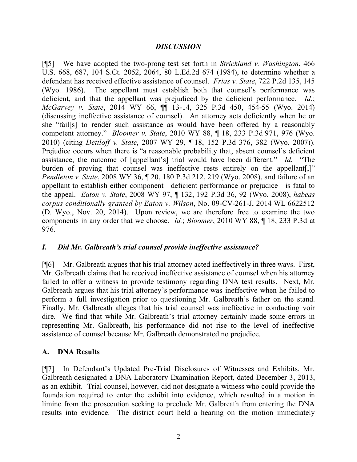## *DISCUSSION*

[¶5] We have adopted the two-prong test set forth in *Strickland v. Washington*, 466 U.S. 668, 687, 104 S.Ct. 2052, 2064, 80 L.Ed.2d 674 (1984), to determine whether a defendant has received effective assistance of counsel. *Frias v. State*, 722 P.2d 135, 145 (Wyo. 1986). The appellant must establish both that counsel's performance was deficient, and that the appellant was prejudiced by the deficient performance. *Id.*; *McGarvey v. State*, 2014 WY 66, ¶¶ 13-14, 325 P.3d 450, 454-55 (Wyo. 2014) (discussing ineffective assistance of counsel). An attorney acts deficiently when he or she "fail[s] to render such assistance as would have been offered by a reasonably competent attorney." *Bloomer v. State*, 2010 WY 88, ¶ 18, 233 P.3d 971, 976 (Wyo. 2010) (citing *Dettloff v. State*, 2007 WY 29, ¶ 18, 152 P.3d 376, 382 (Wyo. 2007)). Prejudice occurs when there is "a reasonable probability that, absent counsel's deficient assistance, the outcome of [appellant's] trial would have been different." *Id.* "The burden of proving that counsel was ineffective rests entirely on the appellant. *Pendleton v. State*, 2008 WY 36, ¶ 20, 180 P.3d 212, 219 (Wyo. 2008), and failure of an appellant to establish either component—deficient performance or prejudice—is fatal to the appeal. *Eaton v. State*, 2008 WY 97, ¶ 132, 192 P.3d 36, 92 (Wyo. 2008), *habeas corpus conditionally granted by Eaton v. Wilson*, No. 09-CV-261-J, 2014 WL 6622512 (D. Wyo., Nov. 20, 2014). Upon review, we are therefore free to examine the two components in any order that we choose. *Id.*; *Bloomer*, 2010 WY 88, ¶ 18, 233 P.3d at 976.

# *I. Did Mr. Galbreath's trial counsel provide ineffective assistance?*

[¶6] Mr. Galbreath argues that his trial attorney acted ineffectively in three ways. First, Mr. Galbreath claims that he received ineffective assistance of counsel when his attorney failed to offer a witness to provide testimony regarding DNA test results. Next, Mr. Galbreath argues that his trial attorney's performance was ineffective when he failed to perform a full investigation prior to questioning Mr. Galbreath's father on the stand. Finally, Mr. Galbreath alleges that his trial counsel was ineffective in conducting voir dire. We find that while Mr. Galbreath's trial attorney certainly made some errors in representing Mr. Galbreath, his performance did not rise to the level of ineffective assistance of counsel because Mr. Galbreath demonstrated no prejudice.

# **A. DNA Results**

[¶7] In Defendant's Updated Pre-Trial Disclosures of Witnesses and Exhibits, Mr. Galbreath designated a DNA Laboratory Examination Report, dated December 3, 2013, as an exhibit. Trial counsel, however, did not designate a witness who could provide the foundation required to enter the exhibit into evidence, which resulted in a motion in limine from the prosecution seeking to preclude Mr. Galbreath from entering the DNA results into evidence. The district court held a hearing on the motion immediately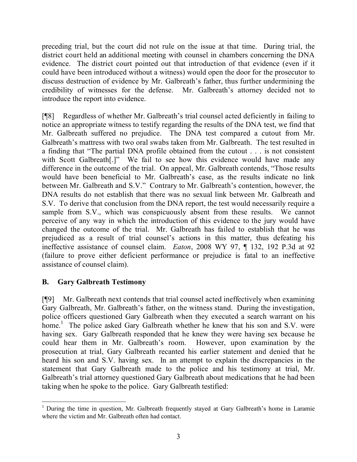preceding trial, but the court did not rule on the issue at that time. During trial, the district court held an additional meeting with counsel in chambers concerning the DNA evidence. The district court pointed out that introduction of that evidence (even if it could have been introduced without a witness) would open the door for the prosecutor to discuss destruction of evidence by Mr. Galbreath's father, thus further undermining the credibility of witnesses for the defense. Mr. Galbreath's attorney decided not to introduce the report into evidence.

[¶8] Regardless of whether Mr. Galbreath's trial counsel acted deficiently in failing to notice an appropriate witness to testify regarding the results of the DNA test, we find that Mr. Galbreath suffered no prejudice. The DNA test compared a cutout from Mr. Galbreath's mattress with two oral swabs taken from Mr. Galbreath. The test resulted in a finding that "The partial DNA profile obtained from the cutout . . . is not consistent with Scott Galbreath[.]" We fail to see how this evidence would have made any difference in the outcome of the trial. On appeal, Mr. Galbreath contends, "Those results would have been beneficial to Mr. Galbreath's case, as the results indicate no link between Mr. Galbreath and S.V." Contrary to Mr. Galbreath's contention, however, the DNA results do not establish that there was no sexual link between Mr. Galbreath and S.V. To derive that conclusion from the DNA report, the test would necessarily require a sample from S.V., which was conspicuously absent from these results. We cannot perceive of any way in which the introduction of this evidence to the jury would have changed the outcome of the trial. Mr. Galbreath has failed to establish that he was prejudiced as a result of trial counsel's actions in this matter, thus defeating his ineffective assistance of counsel claim. *Eaton*, 2008 WY 97, ¶ 132, 192 P.3d at 92 (failure to prove either deficient performance or prejudice is fatal to an ineffective assistance of counsel claim).

# **B. Gary Galbreath Testimony**

[¶9] Mr. Galbreath next contends that trial counsel acted ineffectively when examining Gary Galbreath, Mr. Galbreath's father, on the witness stand. During the investigation, police officers questioned Gary Galbreath when they executed a search warrant on his home.<sup>1</sup> The police asked Gary Galbreath whether he knew that his son and S.V. were having sex. Gary Galbreath responded that he knew they were having sex because he could hear them in Mr. Galbreath's room. However, upon examination by the prosecution at trial, Gary Galbreath recanted his earlier statement and denied that he heard his son and S.V. having sex. In an attempt to explain the discrepancies in the statement that Gary Galbreath made to the police and his testimony at trial, Mr. Galbreath's trial attorney questioned Gary Galbreath about medications that he had been taking when he spoke to the police. Gary Galbreath testified:

 <sup>1</sup> During the time in question, Mr. Galbreath frequently stayed at Gary Galbreath's home in Laramie where the victim and Mr. Galbreath often had contact.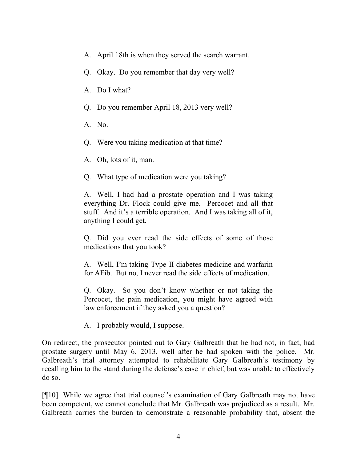- A. April 18th is when they served the search warrant.
- Q. Okay. Do you remember that day very well?
- A. Do I what?
- Q. Do you remember April 18, 2013 very well?
- A. No.
- Q. Were you taking medication at that time?
- A. Oh, lots of it, man.
- Q. What type of medication were you taking?

A. Well, I had had a prostate operation and I was taking everything Dr. Flock could give me. Percocet and all that stuff. And it's a terrible operation. And I was taking all of it, anything I could get.

Q. Did you ever read the side effects of some of those medications that you took?

A. Well, I'm taking Type II diabetes medicine and warfarin for AFib. But no, I never read the side effects of medication.

Q. Okay. So you don't know whether or not taking the Percocet, the pain medication, you might have agreed with law enforcement if they asked you a question?

A. I probably would, I suppose.

On redirect, the prosecutor pointed out to Gary Galbreath that he had not, in fact, had prostate surgery until May 6, 2013, well after he had spoken with the police. Mr. Galbreath's trial attorney attempted to rehabilitate Gary Galbreath's testimony by recalling him to the stand during the defense's case in chief, but was unable to effectively do so.

[¶10] While we agree that trial counsel's examination of Gary Galbreath may not have been competent, we cannot conclude that Mr. Galbreath was prejudiced as a result. Mr. Galbreath carries the burden to demonstrate a reasonable probability that, absent the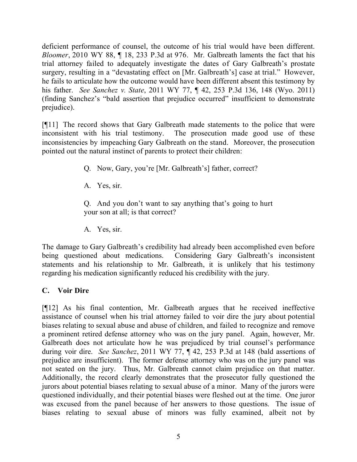deficient performance of counsel, the outcome of his trial would have been different. *Bloomer*, 2010 WY 88, ¶ 18, 233 P.3d at 976. Mr. Galbreath laments the fact that his trial attorney failed to adequately investigate the dates of Gary Galbreath's prostate surgery, resulting in a "devastating effect on [Mr. Galbreath's] case at trial." However, he fails to articulate how the outcome would have been different absent this testimony by his father. *See Sanchez v. State*, 2011 WY 77, ¶ 42, 253 P.3d 136, 148 (Wyo. 2011) (finding Sanchez's "bald assertion that prejudice occurred" insufficient to demonstrate prejudice).

[¶11] The record shows that Gary Galbreath made statements to the police that were inconsistent with his trial testimony. The prosecution made good use of these The prosecution made good use of these inconsistencies by impeaching Gary Galbreath on the stand. Moreover, the prosecution pointed out the natural instinct of parents to protect their children:

- Q. Now, Gary, you're [Mr. Galbreath's] father, correct?
- A. Yes, sir.

Q. And you don't want to say anything that's going to hurt your son at all; is that correct?

A. Yes, sir.

The damage to Gary Galbreath's credibility had already been accomplished even before being questioned about medications. Considering Gary Galbreath's inconsistent statements and his relationship to Mr. Galbreath, it is unlikely that his testimony regarding his medication significantly reduced his credibility with the jury.

# **C. Voir Dire**

[¶12] As his final contention, Mr. Galbreath argues that he received ineffective assistance of counsel when his trial attorney failed to voir dire the jury about potential biases relating to sexual abuse and abuse of children, and failed to recognize and remove a prominent retired defense attorney who was on the jury panel. Again, however, Mr. Galbreath does not articulate how he was prejudiced by trial counsel's performance during voir dire. *See Sanchez*, 2011 WY 77, ¶ 42, 253 P.3d at 148 (bald assertions of prejudice are insufficient). The former defense attorney who was on the jury panel was not seated on the jury. Thus, Mr. Galbreath cannot claim prejudice on that matter. Additionally, the record clearly demonstrates that the prosecutor fully questioned the jurors about potential biases relating to sexual abuse of a minor. Many of the jurors were questioned individually, and their potential biases were fleshed out at the time. One juror was excused from the panel because of her answers to those questions. The issue of biases relating to sexual abuse of minors was fully examined, albeit not by